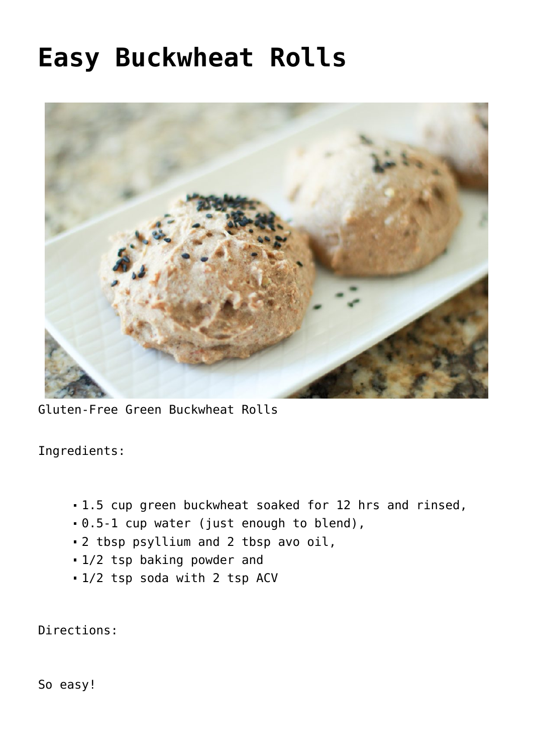## **[Easy Buckwheat Rolls](https://sproutshealth.com/easy-buckwheat-rolls/)**



Gluten-Free Green Buckwheat Rolls

Ingredients:

- 1.5 cup green buckwheat soaked for 12 hrs and rinsed,
- 0.5-1 cup water (just enough to blend),
- 2 tbsp psyllium and 2 tbsp avo oil,
- 1/2 tsp baking powder and
- 1/2 tsp soda with 2 tsp ACV

Directions:

So easy!